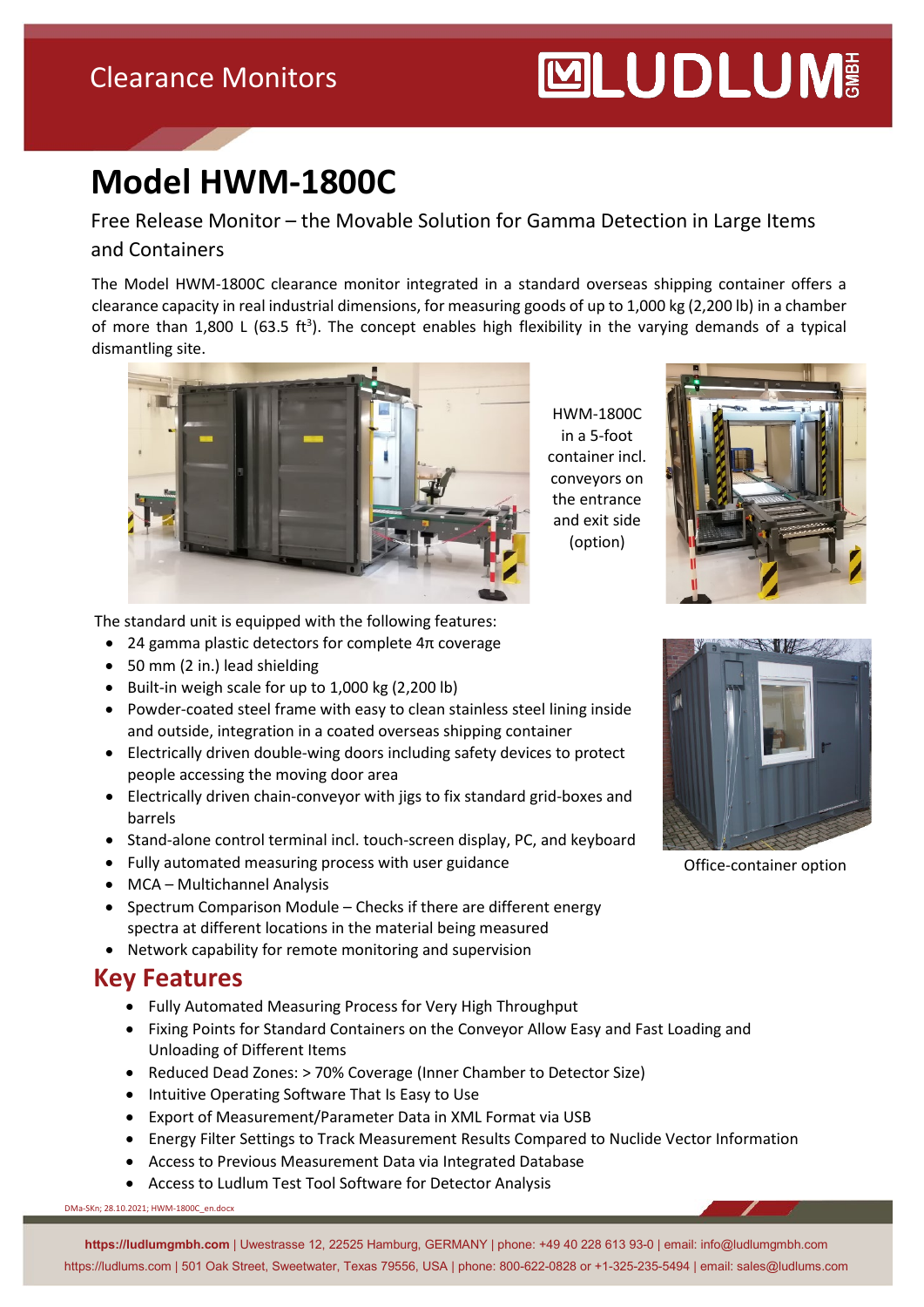## Clearance Monitors

# **MUDLUM**

# **Model HWM-1800C**

Free Release Monitor – the Movable Solution for Gamma Detection in Large Items and Containers

The Model HWM-1800C clearance monitor integrated in a standard overseas shipping container offers a clearance capacity in real industrial dimensions, for measuring goods of up to 1,000 kg (2,200 lb) in a chamber of more than 1,800 L (63.5 ft<sup>3</sup>). The concept enables high flexibility in the varying demands of a typical dismantling site.



HWM-1800C in a 5-foot container incl. conveyors on the entrance and exit side (option)



The standard unit is equipped with the following features:

- 24 gamma plastic detectors for complete 4π coverage
- 50 mm (2 in.) lead shielding
- Built-in weigh scale for up to 1,000 kg (2,200 lb)
- Powder-coated steel frame with easy to clean stainless steel lining inside and outside, integration in a coated overseas shipping container
- Electrically driven double-wing doors including safety devices to protect people accessing the moving door area
- Electrically driven chain-conveyor with jigs to fix standard grid-boxes and barrels
- Stand-alone control terminal incl. touch-screen display, PC, and keyboard
- Fully automated measuring process with user guidance
- MCA Multichannel Analysis
- Spectrum Comparison Module Checks if there are different energy spectra at different locations in the material being measured
- Network capability for remote monitoring and supervision

#### **Key Features**

- Fully Automated Measuring Process for Very High Throughput
- Fixing Points for Standard Containers on the Conveyor Allow Easy and Fast Loading and Unloading of Different Items
- Reduced Dead Zones: > 70% Coverage (Inner Chamber to Detector Size)
- Intuitive Operating Software That Is Easy to Use
- Export of Measurement/Parameter Data in XML Format via USB
- Energy Filter Settings to Track Measurement Results Compared to Nuclide Vector Information
- Access to Previous Measurement Data via Integrated Database
- Access to Ludlum Test Tool Software for Detector Analysis

DMa-SKn; 28.10.2021; HWM-1800C\_en.docx

**https://ludlumgmbh.com** | Uwestrasse 12, 22525 Hamburg, GERMANY | phone: +49 40 228 613 93-0 | email: info@ludlumgmbh.com https://ludlums.com | 501 Oak Street, Sweetwater, Texas 79556, USA | phone: 800-622-0828 or +1-325-235-5494 | email: sales@ludlums.com



Office-container option